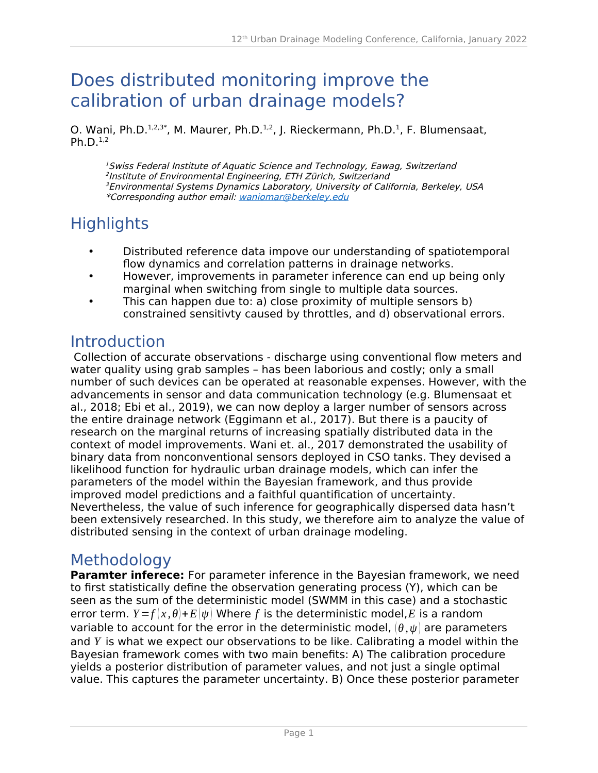# Does distributed monitoring improve the calibration of urban drainage models?

O. Wani, Ph.D.<sup>1,2,3\*</sup>, M. Maurer, Ph.D.<sup>1,2</sup>, J. Rieckermann, Ph.D.<sup>1</sup>, F. Blumensaat, Ph.D. $^{1,2}$ 

<sup>1</sup> Swiss Federal Institute of Aquatic Science and Technology, Eawag, Switzerland 2 Institute of Environmental Engineering, ETH Zürich, Switzerland <sup>3</sup> Environmental Systems Dynamics Laboratory, University of California, Berkeley, USA \*Corresponding author email: [w](mailto:udm2022@sccwrp.org) aniomar@berkeley.edu

# **Highlights**

- Distributed reference data impove our understanding of spatiotemporal flow dynamics and correlation patterns in drainage networks.
- However, improvements in parameter inference can end up being only marginal when switching from single to multiple data sources.
- This can happen due to: a) close proximity of multiple sensors b) constrained sensitivty caused by throttles, and d) observational errors.

### Introduction

 Collection of accurate observations - discharge using conventional flow meters and water quality using grab samples – has been laborious and costly; only a small number of such devices can be operated at reasonable expenses. However, with the advancements in sensor and data communication technology (e.g. Blumensaat et al., 2018; Ebi et al., 2019), we can now deploy a larger number of sensors across the entire drainage network (Eggimann et al., 2017). But there is a paucity of research on the marginal returns of increasing spatially distributed data in the context of model improvements. Wani et. al., 2017 demonstrated the usability of binary data from nonconventional sensors deployed in CSO tanks. They devised a likelihood function for hydraulic urban drainage models, which can infer the parameters of the model within the Bayesian framework, and thus provide improved model predictions and a faithful quantification of uncertainty. Nevertheless, the value of such inference for geographically dispersed data hasn't been extensively researched. In this study, we therefore aim to analyze the value of distributed sensing in the context of urban drainage modeling.

### Methodology

**Paramter inferece:** For parameter inference in the Bayesian framework, we need to first statistically define the observation generating process (Y), which can be seen as the sum of the deterministic model (SWMM in this case) and a stochastic error term.  $Y = f(x, \theta) + E(\psi)$  Where f is the deterministic model, E is a random variable to account for the error in the deterministic model,  $(\theta, \psi)$  are parameters and *Y* is what we expect our observations to be like. Calibrating a model within the Bayesian framework comes with two main benefits: A) The calibration procedure yields a posterior distribution of parameter values, and not just a single optimal value. This captures the parameter uncertainty. B) Once these posterior parameter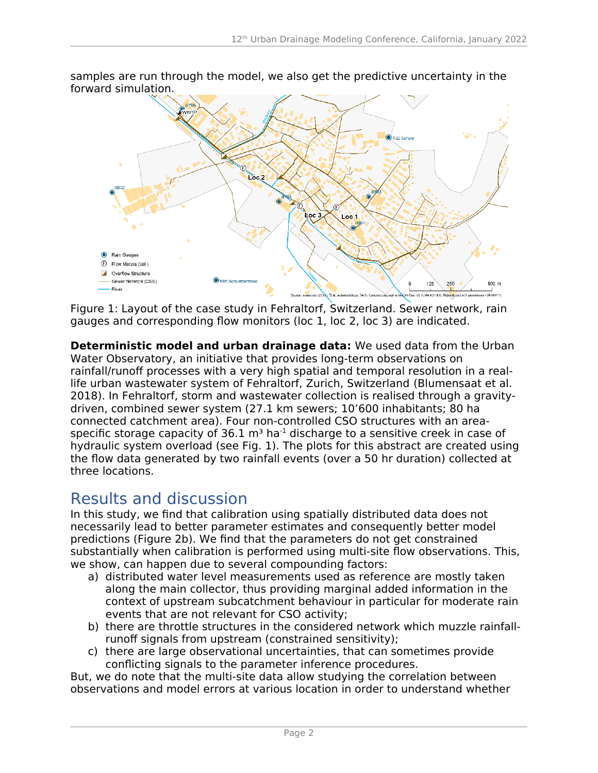samples are run through the model, we also get the predictive uncertainty in the forward simulation.



Figure 1: Layout of the case study in Fehraltorf, Switzerland. Sewer network, rain gauges and corresponding flow monitors (loc 1, loc 2, loc 3) are indicated.

**Deterministic model and urban drainage data:** We used data from the Urban Water Observatory, an initiative that provides long-term observations on rainfall/runoff processes with a very high spatial and temporal resolution in a reallife urban wastewater system of Fehraltorf, Zurich, Switzerland (Blumensaat et al. 2018). In Fehraltorf, storm and wastewater collection is realised through a gravitydriven, combined sewer system (27.1 km sewers; 10'600 inhabitants; 80 ha connected catchment area). Four non-controlled CSO structures with an areaspecific storage capacity of  $36.1 \text{ m}^3$  ha<sup>-1</sup> discharge to a sensitive creek in case of hydraulic system overload (see Fig. 1). The plots for this abstract are created using the flow data generated by two rainfall events (over a 50 hr duration) collected at three locations.

### Results and discussion

In this study, we find that calibration using spatially distributed data does not necessarily lead to better parameter estimates and consequently better model predictions (Figure 2b). We find that the parameters do not get constrained substantially when calibration is performed using multi-site flow observations. This, we show, can happen due to several compounding factors:

- a) distributed water level measurements used as reference are mostly taken along the main collector, thus providing marginal added information in the context of upstream subcatchment behaviour in particular for moderate rain events that are not relevant for CSO activity;
- b) there are throttle structures in the considered network which muzzle rainfallrunoff signals from upstream (constrained sensitivity);
- c) there are large observational uncertainties, that can sometimes provide conflicting signals to the parameter inference procedures.

But, we do note that the multi-site data allow studying the correlation between observations and model errors at various location in order to understand whether